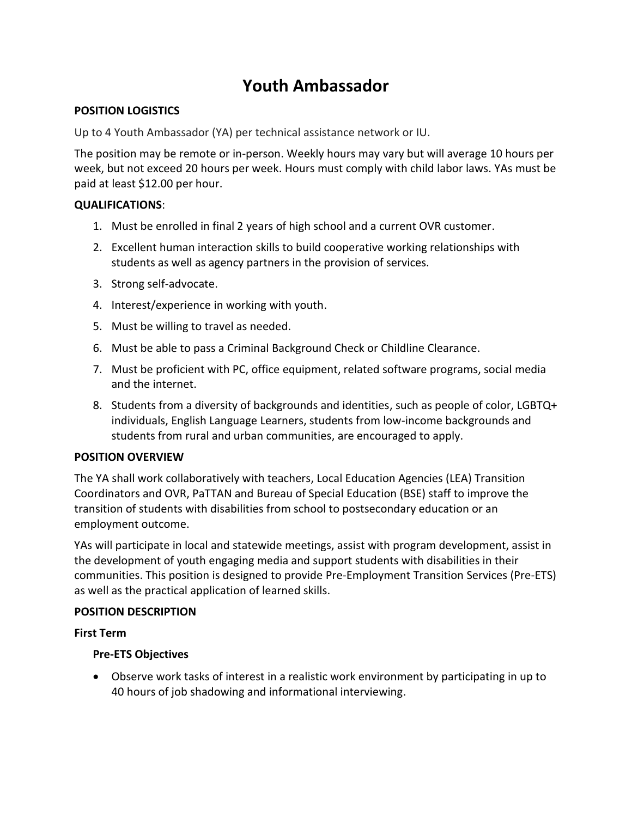# **Youth Ambassador**

#### **POSITION LOGISTICS**

Up to 4 Youth Ambassador (YA) per technical assistance network or IU.

The position may be remote or in-person. Weekly hours may vary but will average 10 hours per week, but not exceed 20 hours per week. Hours must comply with child labor laws. YAs must be paid at least \$12.00 per hour.

### **QUALIFICATIONS**:

- 1. Must be enrolled in final 2 years of high school and a current OVR customer.
- 2. Excellent human interaction skills to build cooperative working relationships with students as well as agency partners in the provision of services.
- 3. Strong self-advocate.
- 4. Interest/experience in working with youth.
- 5. Must be willing to travel as needed.
- 6. Must be able to pass a Criminal Background Check or Childline Clearance.
- 7. Must be proficient with PC, office equipment, related software programs, social media and the internet.
- 8. Students from a diversity of backgrounds and identities, such as people of color, LGBTQ+ individuals, English Language Learners, students from low-income backgrounds and students from rural and urban communities, are encouraged to apply.

#### **POSITION OVERVIEW**

The YA shall work collaboratively with teachers, Local Education Agencies (LEA) Transition Coordinators and OVR, PaTTAN and Bureau of Special Education (BSE) staff to improve the transition of students with disabilities from school to postsecondary education or an employment outcome.

YAs will participate in local and statewide meetings, assist with program development, assist in the development of youth engaging media and support students with disabilities in their communities. This position is designed to provide Pre-Employment Transition Services (Pre-ETS) as well as the practical application of learned skills.

#### **POSITION DESCRIPTION**

#### **First Term**

#### **Pre-ETS Objectives**

• Observe work tasks of interest in a realistic work environment by participating in up to 40 hours of job shadowing and informational interviewing.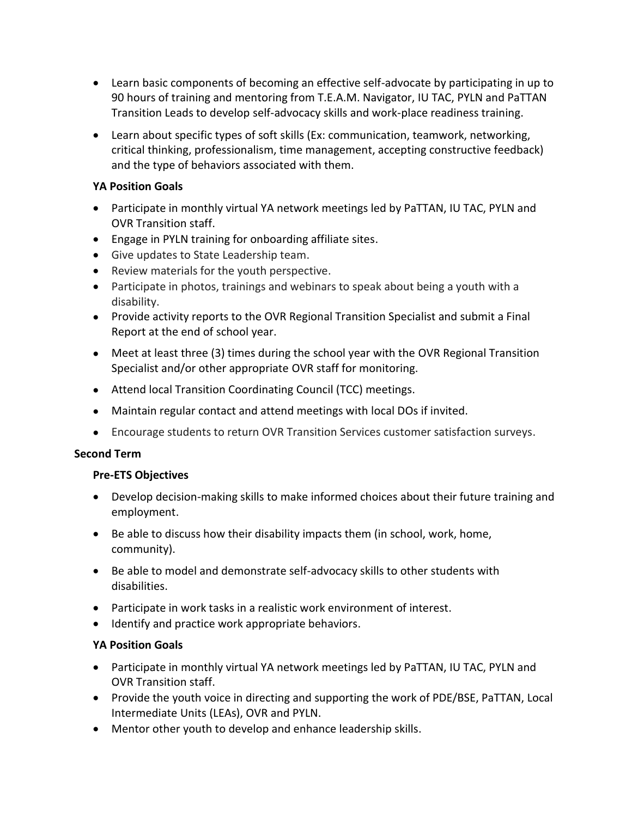- Learn basic components of becoming an effective self-advocate by participating in up to 90 hours of training and mentoring from T.E.A.M. Navigator, IU TAC, PYLN and PaTTAN Transition Leads to develop self-advocacy skills and work-place readiness training.
- Learn about specific types of soft skills (Ex: communication, teamwork, networking, critical thinking, professionalism, time management, accepting constructive feedback) and the type of behaviors associated with them.

## **YA Position Goals**

- Participate in monthly virtual YA network meetings led by PaTTAN, IU TAC, PYLN and OVR Transition staff.
- Engage in PYLN training for onboarding affiliate sites.
- Give updates to State Leadership team.
- Review materials for the youth perspective.
- Participate in photos, trainings and webinars to speak about being a youth with a disability.
- Provide activity reports to the OVR Regional Transition Specialist and submit a Final Report at the end of school year.
- Meet at least three (3) times during the school year with the OVR Regional Transition Specialist and/or other appropriate OVR staff for monitoring.
- Attend local Transition Coordinating Council (TCC) meetings.
- Maintain regular contact and attend meetings with local DOs if invited.
- Encourage students to return OVR Transition Services customer satisfaction surveys.

#### **Second Term**

## **Pre-ETS Objectives**

- Develop decision-making skills to make informed choices about their future training and employment.
- Be able to discuss how their disability impacts them (in school, work, home, community).
- Be able to model and demonstrate self-advocacy skills to other students with disabilities.
- Participate in work tasks in a realistic work environment of interest.
- Identify and practice work appropriate behaviors.

## **YA Position Goals**

- Participate in monthly virtual YA network meetings led by PaTTAN, IU TAC, PYLN and OVR Transition staff.
- Provide the youth voice in directing and supporting the work of PDE/BSE, PaTTAN, Local Intermediate Units (LEAs), OVR and PYLN.
- Mentor other youth to develop and enhance leadership skills.